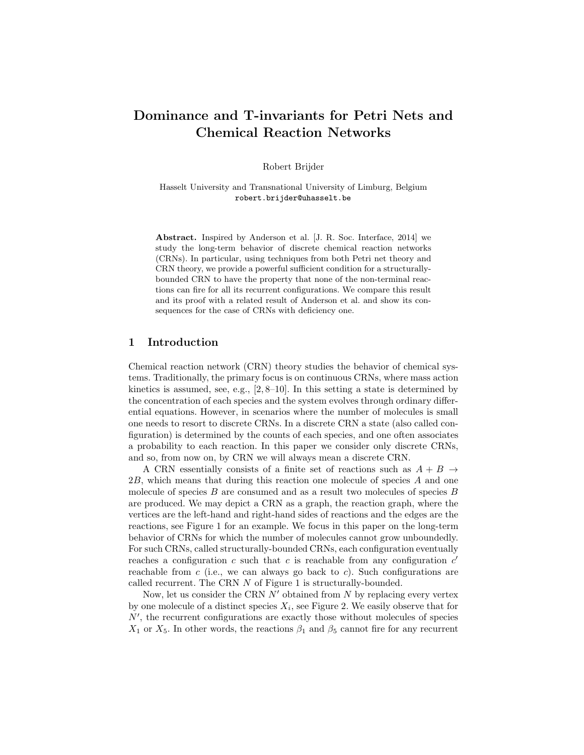Robert Brijder

Hasselt University and Transnational University of Limburg, Belgium robert.brijder@uhasselt.be

Abstract. Inspired by Anderson et al. [J. R. Soc. Interface, 2014] we study the long-term behavior of discrete chemical reaction networks (CRNs). In particular, using techniques from both Petri net theory and CRN theory, we provide a powerful sufficient condition for a structurallybounded CRN to have the property that none of the non-terminal reactions can fire for all its recurrent configurations. We compare this result and its proof with a related result of Anderson et al. and show its consequences for the case of CRNs with deficiency one.

## 1 Introduction

Chemical reaction network (CRN) theory studies the behavior of chemical systems. Traditionally, the primary focus is on continuous CRNs, where mass action kinetics is assumed, see, e.g.,  $[2, 8-10]$ . In this setting a state is determined by the concentration of each species and the system evolves through ordinary differential equations. However, in scenarios where the number of molecules is small one needs to resort to discrete CRNs. In a discrete CRN a state (also called configuration) is determined by the counts of each species, and one often associates a probability to each reaction. In this paper we consider only discrete CRNs, and so, from now on, by CRN we will always mean a discrete CRN.

A CRN essentially consists of a finite set of reactions such as  $A + B \rightarrow$ 2B, which means that during this reaction one molecule of species A and one molecule of species  $B$  are consumed and as a result two molecules of species  $B$ are produced. We may depict a CRN as a graph, the reaction graph, where the vertices are the left-hand and right-hand sides of reactions and the edges are the reactions, see Figure 1 for an example. We focus in this paper on the long-term behavior of CRNs for which the number of molecules cannot grow unboundedly. For such CRNs, called structurally-bounded CRNs, each configuration eventually reaches a configuration  $c$  such that  $c$  is reachable from any configuration  $c'$ reachable from  $c$  (i.e., we can always go back to  $c$ ). Such configurations are called recurrent. The CRN N of Figure 1 is structurally-bounded.

Now, let us consider the CRN  $N'$  obtained from  $N$  by replacing every vertex by one molecule of a distinct species  $X_i$ , see Figure 2. We easily observe that for  $N'$ , the recurrent configurations are exactly those without molecules of species  $X_1$  or  $X_5$ . In other words, the reactions  $\beta_1$  and  $\beta_5$  cannot fire for any recurrent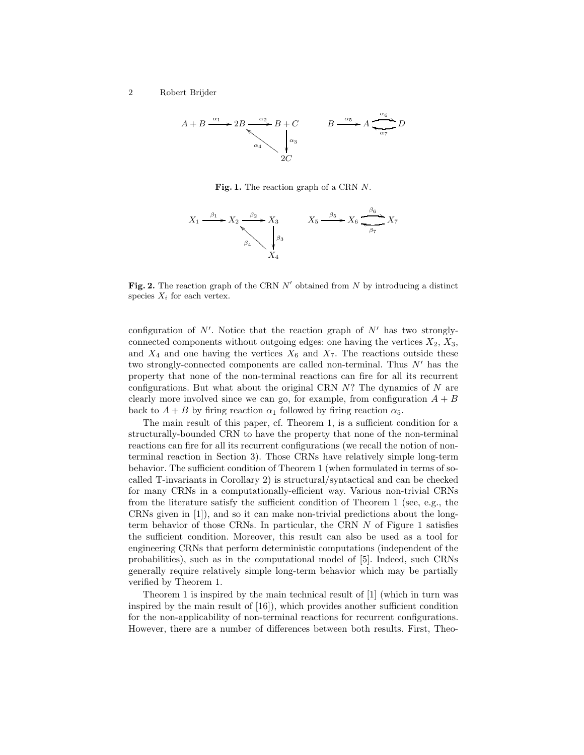2 Robert Brijder

$$
A + B \xrightarrow{\alpha_1} 2B \xrightarrow{\alpha_2} B + C \qquad B \xrightarrow{\alpha_5} A \xrightarrow{\alpha_6} D
$$

$$
\downarrow^{\alpha_3} 2C
$$

Fig. 1. The reaction graph of a CRN  $N$ .



Fig. 2. The reaction graph of the CRN  $N'$  obtained from  $N$  by introducing a distinct species  $X_i$  for each vertex.

configuration of  $N'$ . Notice that the reaction graph of  $N'$  has two stronglyconnected components without outgoing edges: one having the vertices  $X_2, X_3$ , and  $X_4$  and one having the vertices  $X_6$  and  $X_7$ . The reactions outside these two strongly-connected components are called non-terminal. Thus N′ has the property that none of the non-terminal reactions can fire for all its recurrent configurations. But what about the original CRN  $N$ ? The dynamics of  $N$  are clearly more involved since we can go, for example, from configuration  $A + B$ back to  $A + B$  by firing reaction  $\alpha_1$  followed by firing reaction  $\alpha_5$ .

The main result of this paper, cf. Theorem 1, is a sufficient condition for a structurally-bounded CRN to have the property that none of the non-terminal reactions can fire for all its recurrent configurations (we recall the notion of nonterminal reaction in Section 3). Those CRNs have relatively simple long-term behavior. The sufficient condition of Theorem 1 (when formulated in terms of socalled T-invariants in Corollary 2) is structural/syntactical and can be checked for many CRNs in a computationally-efficient way. Various non-trivial CRNs from the literature satisfy the sufficient condition of Theorem 1 (see, e.g., the CRNs given in [1]), and so it can make non-trivial predictions about the longterm behavior of those CRNs. In particular, the CRN N of Figure 1 satisfies the sufficient condition. Moreover, this result can also be used as a tool for engineering CRNs that perform deterministic computations (independent of the probabilities), such as in the computational model of [5]. Indeed, such CRNs generally require relatively simple long-term behavior which may be partially verified by Theorem 1.

Theorem 1 is inspired by the main technical result of [1] (which in turn was inspired by the main result of [16]), which provides another sufficient condition for the non-applicability of non-terminal reactions for recurrent configurations. However, there are a number of differences between both results. First, Theo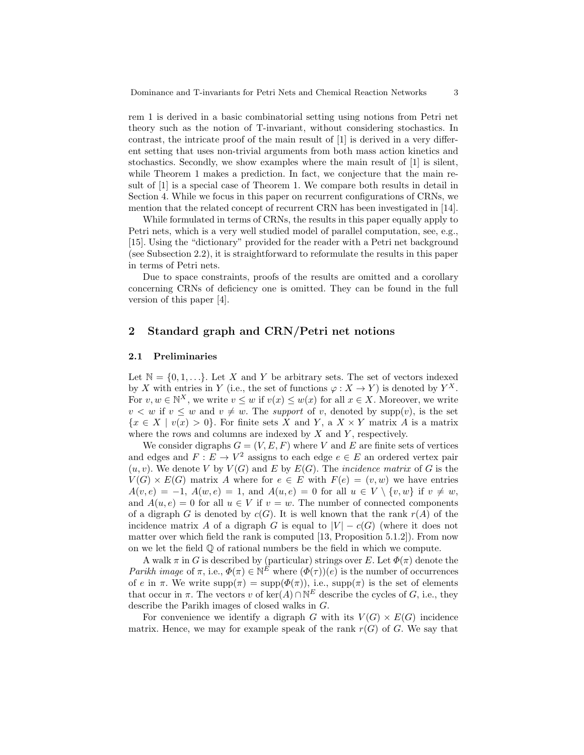rem 1 is derived in a basic combinatorial setting using notions from Petri net theory such as the notion of T-invariant, without considering stochastics. In contrast, the intricate proof of the main result of [1] is derived in a very different setting that uses non-trivial arguments from both mass action kinetics and stochastics. Secondly, we show examples where the main result of [1] is silent, while Theorem 1 makes a prediction. In fact, we conjecture that the main result of [1] is a special case of Theorem 1. We compare both results in detail in Section 4. While we focus in this paper on recurrent configurations of CRNs, we mention that the related concept of recurrent CRN has been investigated in [14].

While formulated in terms of CRNs, the results in this paper equally apply to Petri nets, which is a very well studied model of parallel computation, see, e.g., [15]. Using the "dictionary" provided for the reader with a Petri net background (see Subsection 2.2), it is straightforward to reformulate the results in this paper in terms of Petri nets.

Due to space constraints, proofs of the results are omitted and a corollary concerning CRNs of deficiency one is omitted. They can be found in the full version of this paper [4].

# 2 Standard graph and CRN/Petri net notions

## 2.1 Preliminaries

Let  $\mathbb{N} = \{0, 1, \ldots\}$ . Let X and Y be arbitrary sets. The set of vectors indexed by X with entries in Y (i.e., the set of functions  $\varphi: X \to Y$ ) is denoted by  $Y^X$ . For  $v, w \in \mathbb{N}^X$ , we write  $v \leq w$  if  $v(x) \leq w(x)$  for all  $x \in X$ . Moreover, we write  $v < w$  if  $v \leq w$  and  $v \neq w$ . The support of v, denoted by supp $(v)$ , is the set  ${x \in X \mid v(x) > 0}.$  For finite sets X and Y, a  $X \times Y$  matrix A is a matrix where the rows and columns are indexed by  $X$  and  $Y$ , respectively.

We consider digraphs  $G = (V, E, F)$  where V and E are finite sets of vertices and edges and  $F: E \to V^2$  assigns to each edge  $e \in E$  an ordered vertex pair  $(u, v)$ . We denote V by  $V(G)$  and E by  $E(G)$ . The *incidence matrix* of G is the  $V(G) \times E(G)$  matrix A where for  $e \in E$  with  $F(e) = (v, w)$  we have entries  $A(v, e) = -1, A(w, e) = 1, \text{ and } A(u, e) = 0 \text{ for all } u \in V \setminus \{v, w\} \text{ if } v \neq w,$ and  $A(u, e) = 0$  for all  $u \in V$  if  $v = w$ . The number of connected components of a digraph G is denoted by  $c(G)$ . It is well known that the rank  $r(A)$  of the incidence matrix A of a digraph G is equal to  $|V| - c(G)$  (where it does not matter over which field the rank is computed [13, Proposition 5.1.2]). From now on we let the field  $\mathbb Q$  of rational numbers be the field in which we compute.

A walk  $\pi$  in G is described by (particular) strings over E. Let  $\Phi(\pi)$  denote the Parikh image of  $\pi$ , i.e.,  $\Phi(\pi) \in \mathbb{N}^E$  where  $(\Phi(\tau))(e)$  is the number of occurrences of e in  $\pi$ . We write supp $(\pi) = \text{supp}(\Phi(\pi))$ , i.e., supp $(\pi)$  is the set of elements that occur in  $\pi$ . The vectors v of ker $(A) \cap \mathbb{N}^E$  describe the cycles of G, i.e., they describe the Parikh images of closed walks in G.

For convenience we identify a digraph G with its  $V(G) \times E(G)$  incidence matrix. Hence, we may for example speak of the rank  $r(G)$  of G. We say that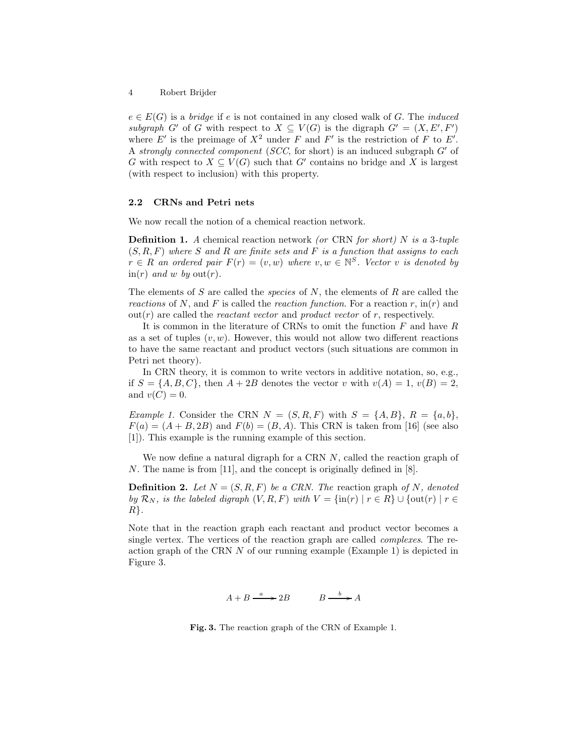$e \in E(G)$  is a *bridge* if e is not contained in any closed walk of G. The *induced* subgraph G' of G with respect to  $X \subseteq V(G)$  is the digraph  $G' = (X, E', F')$ where E' is the preimage of  $X^2$  under F and F' is the restriction of F to E'. A strongly connected component (SCC, for short) is an induced subgraph  $G'$  of G with respect to  $X \subseteq V(G)$  such that G' contains no bridge and X is largest (with respect to inclusion) with this property.

## 2.2 CRNs and Petri nets

We now recall the notion of a chemical reaction network.

**Definition 1.** A chemical reaction network (or CRN for short) N is a 3-tuple  $(S, R, F)$  where S and R are finite sets and F is a function that assigns to each  $r \in R$  an ordered pair  $F(r) = (v, w)$  where  $v, w \in \mathbb{N}^S$ . Vector v is denoted by in(r) and w by out(r).

The elements of  $S$  are called the *species* of  $N$ , the elements of  $R$  are called the reactions of N, and F is called the reaction function. For a reaction r,  $\text{in}(r)$  and  $out(r)$  are called the *reactant vector* and *product vector* of r, respectively.

It is common in the literature of CRNs to omit the function  $F$  and have  $R$ as a set of tuples  $(v, w)$ . However, this would not allow two different reactions to have the same reactant and product vectors (such situations are common in Petri net theory).

In CRN theory, it is common to write vectors in additive notation, so, e.g., if  $S = \{A, B, C\}$ , then  $A + 2B$  denotes the vector v with  $v(A) = 1$ ,  $v(B) = 2$ , and  $v(C) = 0$ .

Example 1. Consider the CRN  $N = (S, R, F)$  with  $S = \{A, B\}, R = \{a, b\},$  $F(a) = (A + B, 2B)$  and  $F(b) = (B, A)$ . This CRN is taken from [16] (see also [1]). This example is the running example of this section.

We now define a natural digraph for a CRN N, called the reaction graph of N. The name is from [11], and the concept is originally defined in [8].

**Definition 2.** Let  $N = (S, R, F)$  be a CRN. The reaction graph of N, denoted by  $\mathcal{R}_N$ , is the labeled digraph  $(V, R, F)$  with  $V = \{ \text{in}(r) \mid r \in R \} \cup \{ \text{out}(r) \mid r \in F \}$  $R$ .

Note that in the reaction graph each reactant and product vector becomes a single vertex. The vertices of the reaction graph are called *complexes*. The reaction graph of the CRN N of our running example (Example 1) is depicted in Figure 3.

$$
A + B \xrightarrow{a} 2B \qquad \qquad B \xrightarrow{b} A
$$

Fig. 3. The reaction graph of the CRN of Example 1.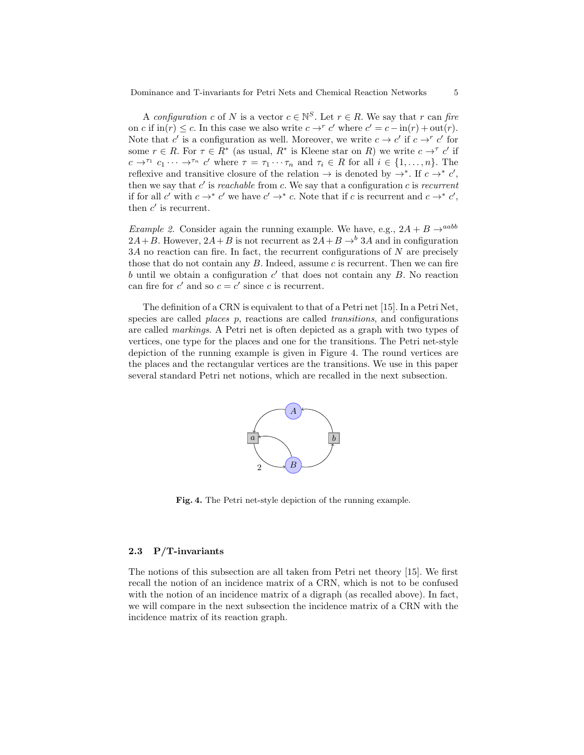A configuration c of N is a vector  $c \in \mathbb{N}^S$ . Let  $r \in R$ . We say that r can fire on c if  $\text{in}(r) \leq c$ . In this case we also write  $c \to^r c'$  where  $c' = c - \text{in}(r) + \text{out}(r)$ . Note that  $c'$  is a configuration as well. Moreover, we write  $c \to c'$  if  $c \to c'$  for some  $r \in R$ . For  $\tau \in R^*$  (as usual,  $R^*$  is Kleene star on R) we write  $c \to^{\tau} c'$  if  $c \to^{\tau_1} c_1 \cdots \to^{\tau_n} c'$  where  $\tau = \tau_1 \cdots \tau_n$  and  $\tau_i \in R$  for all  $i \in \{1, \ldots, n\}$ . The reflexive and transitive closure of the relation  $\rightarrow$  is denoted by  $\rightarrow^*$ . If  $c \rightarrow^* c'$ , then we say that  $c'$  is reachable from c. We say that a configuration c is recurrent if for all c' with  $c \to^* c'$  we have  $c' \to^* c$ . Note that if c is recurrent and  $c \to^* c'$ , then  $c'$  is recurrent.

*Example 2.* Consider again the running example. We have, e.g.,  $2A + B \rightarrow^{aabb}$  $2A+B$ . However,  $2A+B$  is not recurrent as  $2A+B \rightarrow^{b} 3A$  and in configuration  $3A$  no reaction can fire. In fact, the recurrent configurations of  $N$  are precisely those that do not contain any  $B$ . Indeed, assume c is recurrent. Then we can fire  $b$  until we obtain a configuration  $c'$  that does not contain any  $B$ . No reaction can fire for  $c'$  and so  $c = c'$  since c is recurrent.

The definition of a CRN is equivalent to that of a Petri net [15]. In a Petri Net, species are called *places* p, reactions are called *transitions*, and configurations are called markings. A Petri net is often depicted as a graph with two types of vertices, one type for the places and one for the transitions. The Petri net-style depiction of the running example is given in Figure 4. The round vertices are the places and the rectangular vertices are the transitions. We use in this paper several standard Petri net notions, which are recalled in the next subsection.



Fig. 4. The Petri net-style depiction of the running example.

## 2.3 P/T-invariants

The notions of this subsection are all taken from Petri net theory [15]. We first recall the notion of an incidence matrix of a CRN, which is not to be confused with the notion of an incidence matrix of a digraph (as recalled above). In fact, we will compare in the next subsection the incidence matrix of a CRN with the incidence matrix of its reaction graph.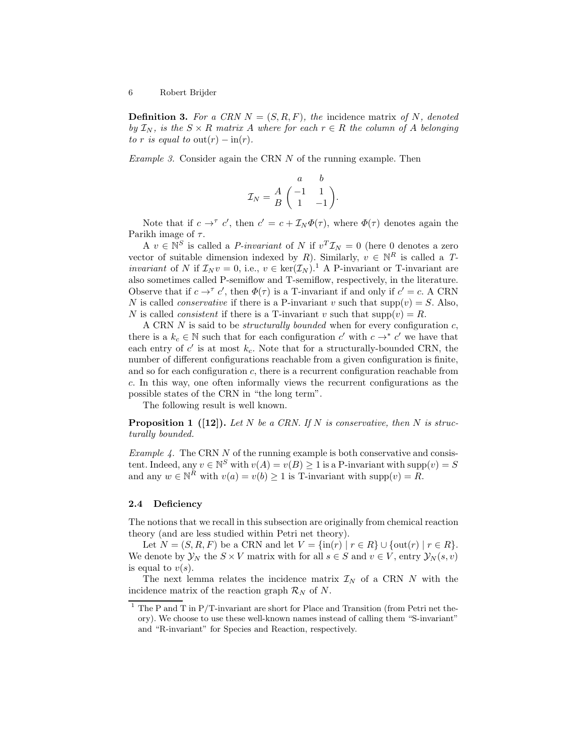**Definition 3.** For a CRN  $N = (S, R, F)$ , the incidence matrix of N, denoted by  $\mathcal{I}_N$ , is the  $S \times R$  matrix A where for each  $r \in R$  the column of A belonging to r is equal to  $\text{out}(r) - \text{in}(r)$ .

Example 3. Consider again the CRN N of the running example. Then

$$
\mathcal{I}_N = \frac{A}{B} \begin{pmatrix} -1 & 1 \\ 1 & -1 \end{pmatrix}.
$$

Note that if  $c \to^{\tau} c'$ , then  $c' = c + \mathcal{I}_N \Phi(\tau)$ , where  $\Phi(\tau)$  denotes again the Parikh image of  $\tau$ .

A  $v \in \mathbb{N}^S$  is called a *P*-invariant of N if  $v^T \mathcal{I}_N = 0$  (here 0 denotes a zero vector of suitable dimension indexed by R). Similarly,  $v \in \mathbb{N}^R$  is called a T*invariant* of N if  $\mathcal{I}_N v = 0$ , i.e.,  $v \in \text{ker}(\mathcal{I}_N)$ .<sup>1</sup> A P-invariant or T-invariant are also sometimes called P-semiflow and T-semiflow, respectively, in the literature. Observe that if  $c \to^{\tau} c'$ , then  $\Phi(\tau)$  is a T-invariant if and only if  $c' = c$ . A CRN N is called *conservative* if there is a P-invariant v such that  $\text{supp}(v) = S$ . Also, N is called *consistent* if there is a T-invariant v such that  $\text{supp}(v) = R$ .

A CRN N is said to be structurally bounded when for every configuration c, there is a  $k_c \in \mathbb{N}$  such that for each configuration  $c'$  with  $c \to^* c'$  we have that each entry of  $c'$  is at most  $k_c$ . Note that for a structurally-bounded CRN, the number of different configurations reachable from a given configuration is finite, and so for each configuration  $c$ , there is a recurrent configuration reachable from c. In this way, one often informally views the recurrent configurations as the possible states of the CRN in "the long term".

The following result is well known.

**Proposition 1** ([12]). Let N be a CRN. If N is conservative, then N is structurally bounded.

Example  $\downarrow$ . The CRN N of the running example is both conservative and consistent. Indeed, any  $v \in \mathbb{N}^S$  with  $v(A) = v(B) \ge 1$  is a P-invariant with  $supp(v) = S$ and any  $w \in \mathbb{N}^R$  with  $v(a) = v(b) \ge 1$  is T-invariant with  $\text{supp}(v) = R$ .

## 2.4 Deficiency

The notions that we recall in this subsection are originally from chemical reaction theory (and are less studied within Petri net theory).

Let  $N = (S, R, F)$  be a CRN and let  $V = \{ \text{in}(r) \mid r \in R \} \cup \{ \text{out}(r) \mid r \in R \}.$ We denote by  $\mathcal{Y}_N$  the  $S \times V$  matrix with for all  $s \in S$  and  $v \in V$ , entry  $\mathcal{Y}_N(s, v)$ is equal to  $v(s)$ .

The next lemma relates the incidence matrix  $\mathcal{I}_N$  of a CRN N with the incidence matrix of the reaction graph  $\mathcal{R}_N$  of N.

 $1$  The P and T in P/T-invariant are short for Place and Transition (from Petri net theory). We choose to use these well-known names instead of calling them "S-invariant" and "R-invariant" for Species and Reaction, respectively.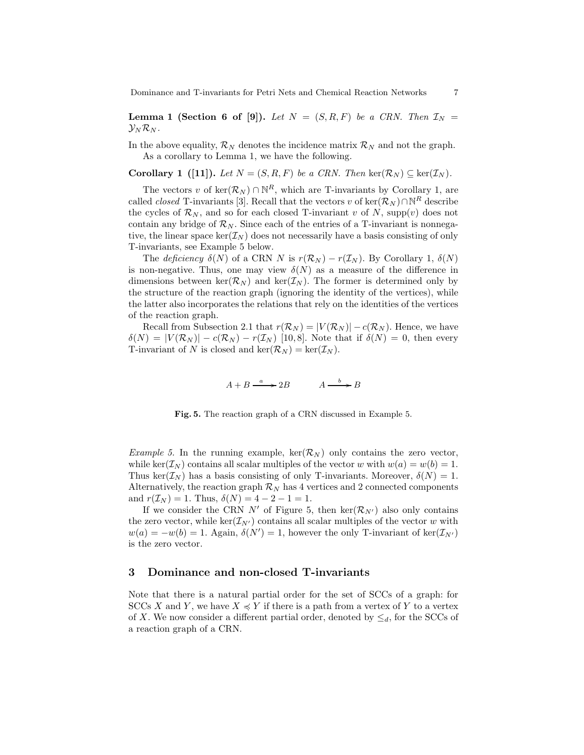**Lemma 1 (Section 6 of [9]).** Let  $N = (S, R, F)$  be a CRN. Then  $\mathcal{I}_N =$  $\mathcal{Y}_N \mathcal{R}_N$  .

In the above equality,  $\mathcal{R}_N$  denotes the incidence matrix  $\mathcal{R}_N$  and not the graph. As a corollary to Lemma 1, we have the following.

**Corollary 1** ([11]). Let  $N = (S, R, F)$  be a CRN. Then ker $(\mathcal{R}_N) \subseteq \text{ker}(\mathcal{I}_N)$ .

The vectors v of  $\ker(\mathcal{R}_N) \cap \mathbb{N}^R$ , which are T-invariants by Corollary 1, are called *closed* T-invariants [3]. Recall that the vectors v of ker $(\mathcal{R}_N) \cap \mathbb{N}^R$  describe the cycles of  $\mathcal{R}_N$ , and so for each closed T-invariant v of N, supp(v) does not contain any bridge of  $\mathcal{R}_N$ . Since each of the entries of a T-invariant is nonnegative, the linear space  $\ker(\mathcal{I}_N)$  does not necessarily have a basis consisting of only T-invariants, see Example 5 below.

The deficiency  $\delta(N)$  of a CRN N is  $r(\mathcal{R}_N) - r(\mathcal{I}_N)$ . By Corollary 1,  $\delta(N)$ is non-negative. Thus, one may view  $\delta(N)$  as a measure of the difference in dimensions between ker( $\mathcal{R}_N$ ) and ker( $\mathcal{I}_N$ ). The former is determined only by the structure of the reaction graph (ignoring the identity of the vertices), while the latter also incorporates the relations that rely on the identities of the vertices of the reaction graph.

Recall from Subsection 2.1 that  $r(\mathcal{R}_N) = |V(\mathcal{R}_N)| - c(\mathcal{R}_N)$ . Hence, we have  $\delta(N) = |V(\mathcal{R}_N)| - c(\mathcal{R}_N) - r(\mathcal{I}_N)$  [10,8]. Note that if  $\delta(N) = 0$ , then every T-invariant of N is closed and  $\ker(\mathcal{R}_N) = \ker(\mathcal{I}_N)$ .

$$
A + B \xrightarrow{a} 2B \qquad A \xrightarrow{b} B
$$

Fig. 5. The reaction graph of a CRN discussed in Example 5.

*Example 5.* In the running example, ker( $\mathcal{R}_N$ ) only contains the zero vector, while ker( $\mathcal{I}_N$ ) contains all scalar multiples of the vector w with  $w(a) = w(b) = 1$ . Thus ker( $\mathcal{I}_N$ ) has a basis consisting of only T-invariants. Moreover,  $\delta(N) = 1$ . Alternatively, the reaction graph  $\mathcal{R}_N$  has 4 vertices and 2 connected components and  $r(\mathcal{I}_N) = 1$ . Thus,  $\delta(N) = 4 - 2 - 1 = 1$ .

If we consider the CRN N' of Figure 5, then ker( $\mathcal{R}_{N'}$ ) also only contains the zero vector, while ker( $\mathcal{I}_{N'}$ ) contains all scalar multiples of the vector w with  $w(a) = -w(b) = 1$ . Again,  $\delta(N') = 1$ , however the only T-invariant of ker $(\mathcal{I}_{N'})$ is the zero vector.

## 3 Dominance and non-closed T-invariants

Note that there is a natural partial order for the set of SCCs of a graph: for SCCs X and Y, we have  $X \preccurlyeq Y$  if there is a path from a vertex of Y to a vertex of X. We now consider a different partial order, denoted by  $\leq_d$ , for the SCCs of a reaction graph of a CRN.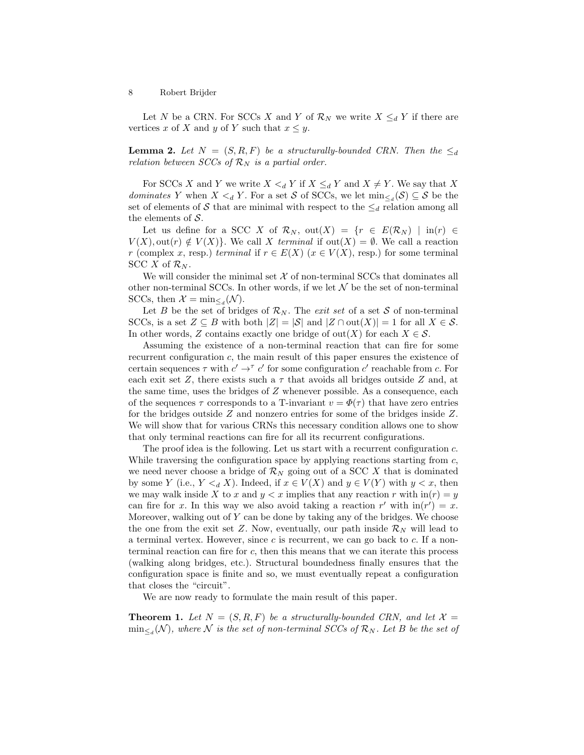#### 8 Robert Brijder

Let N be a CRN. For SCCs X and Y of  $\mathcal{R}_N$  we write  $X \leq_d Y$  if there are vertices x of X and y of Y such that  $x \leq y$ .

**Lemma 2.** Let  $N = (S, R, F)$  be a structurally-bounded CRN. Then the  $\leq_d$ relation between SCCs of  $\mathcal{R}_N$  is a partial order.

For SCCs X and Y we write  $X \leq_d Y$  if  $X \leq_d Y$  and  $X \neq Y$ . We say that X dominates Y when  $X \leq_d Y$ . For a set S of SCCs, we let  $\min_{\leq_d} (S) \subseteq S$  be the set of elements of S that are minimal with respect to the  $\leq_d$  relation among all the elements of  $S$ .

Let us define for a SCC X of  $\mathcal{R}_N$ ,  $out(X) = \{r \in E(\mathcal{R}_N) \mid in(r) \in$  $V(X)$ , out(r)  $\notin V(X)$ . We call X terminal if out(X) = Ø. We call a reaction r (complex x, resp.) terminal if  $r \in E(X)$  ( $x \in V(X)$ , resp.) for some terminal SCC X of  $\mathcal{R}_N$ .

We will consider the minimal set  $X$  of non-terminal SCCs that dominates all other non-terminal SCCs. In other words, if we let  $\mathcal N$  be the set of non-terminal SCCs, then  $\mathcal{X} = \min_{\leq d} (\mathcal{N}).$ 

Let B be the set of bridges of  $\mathcal{R}_N$ . The *exit set* of a set S of non-terminal SCCs, is a set  $Z \subseteq B$  with both  $|Z| = |\mathcal{S}|$  and  $|Z \cap \text{out}(X)| = 1$  for all  $X \in \mathcal{S}$ . In other words, Z contains exactly one bridge of out $(X)$  for each  $X \in \mathcal{S}$ .

Assuming the existence of a non-terminal reaction that can fire for some recurrent configuration c, the main result of this paper ensures the existence of certain sequences  $\tau$  with  $c' \rightarrow^{\tau} c'$  for some configuration  $c'$  reachable from c. For each exit set Z, there exists such a  $\tau$  that avoids all bridges outside Z and, at the same time, uses the bridges of  $Z$  whenever possible. As a consequence, each of the sequences  $\tau$  corresponds to a T-invariant  $v = \Phi(\tau)$  that have zero entries for the bridges outside Z and nonzero entries for some of the bridges inside Z. We will show that for various CRNs this necessary condition allows one to show that only terminal reactions can fire for all its recurrent configurations.

The proof idea is the following. Let us start with a recurrent configuration c. While traversing the configuration space by applying reactions starting from  $c$ , we need never choose a bridge of  $\mathcal{R}_N$  going out of a SCC X that is dominated by some Y (i.e.,  $Y \leq_d X$ ). Indeed, if  $x \in V(X)$  and  $y \in V(Y)$  with  $y < x$ , then we may walk inside X to x and  $y < x$  implies that any reaction r with  $\text{in}(r) = y$ can fire for x. In this way we also avoid taking a reaction r' with  $\text{in}(r') = x$ . Moreover, walking out of  $Y$  can be done by taking any of the bridges. We choose the one from the exit set Z. Now, eventually, our path inside  $\mathcal{R}_N$  will lead to a terminal vertex. However, since  $c$  is recurrent, we can go back to  $c$ . If a nonterminal reaction can fire for  $c$ , then this means that we can iterate this process (walking along bridges, etc.). Structural boundedness finally ensures that the configuration space is finite and so, we must eventually repeat a configuration that closes the "circuit".

We are now ready to formulate the main result of this paper.

**Theorem 1.** Let  $N = (S, R, F)$  be a structurally-bounded CRN, and let  $\mathcal{X} =$  $\min_{\le d}({\cal N}),$  where  ${\cal N}$  is the set of non-terminal SCCs of  ${\cal R}_N.$  Let B be the set of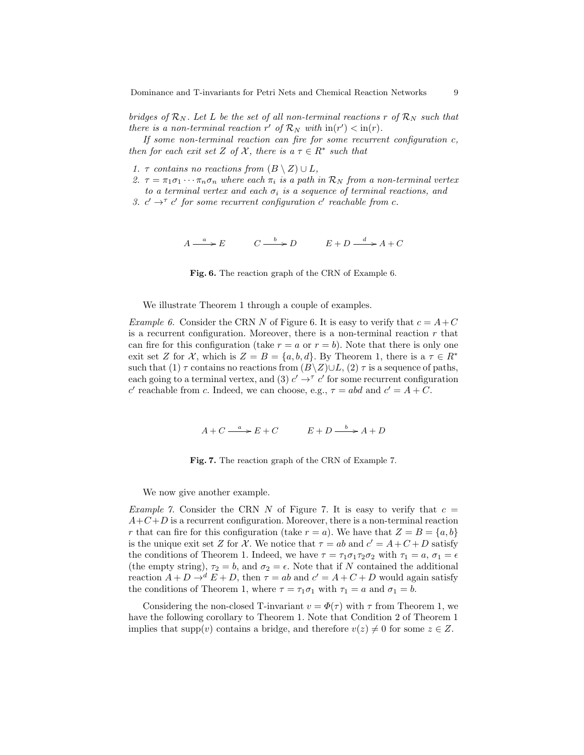bridges of  $\mathcal{R}_N$ . Let L be the set of all non-terminal reactions r of  $\mathcal{R}_N$  such that there is a non-terminal reaction r' of  $\mathcal{R}_N$  with  $\text{in}(r') < \text{in}(r)$ .

If some non-terminal reaction can fire for some recurrent configuration c, then for each exit set Z of X, there is  $a \tau \in R^*$  such that

1.  $\tau$  contains no reactions from  $(B \setminus Z) \cup L$ ,

2.  $\tau = \pi_1 \sigma_1 \cdots \pi_n \sigma_n$  where each  $\pi_i$  is a path in  $\mathcal{R}_N$  from a non-terminal vertex

to a terminal vertex and each  $\sigma_i$  is a sequence of terminal reactions, and 3.  $c' \rightarrow^{\tau} c'$  for some recurrent configuration  $c'$  reachable from c.

> $A \xrightarrow{a} E$  $\stackrel{a}{\longrightarrow} E \qquad C \stackrel{b}{\longrightarrow} D \qquad E + D \stackrel{d}{\longrightarrow} A + C$

We illustrate Theorem 1 through a couple of examples.

Example 6. Consider the CRN N of Figure 6. It is easy to verify that  $c = A+C$ is a recurrent configuration. Moreover, there is a non-terminal reaction  $r$  that can fire for this configuration (take  $r = a$  or  $r = b$ ). Note that there is only one exit set Z for X, which is  $Z = B = \{a, b, d\}$ . By Theorem 1, there is a  $\tau \in R^*$ such that (1)  $\tau$  contains no reactions from  $(B\setminus Z)\cup L$ , (2)  $\tau$  is a sequence of paths, each going to a terminal vertex, and (3)  $c' \rightarrow^{\tau} c'$  for some recurrent configuration c' reachable from c. Indeed, we can choose, e.g.,  $\tau = abd$  and  $c' = A + C$ .

$$
A + C \xrightarrow{a} E + C \qquad E + D \xrightarrow{b} A + D
$$

Fig. 7. The reaction graph of the CRN of Example 7.

We now give another example.

Example 7. Consider the CRN N of Figure 7. It is easy to verify that  $c =$  $A+C+D$  is a recurrent configuration. Moreover, there is a non-terminal reaction r that can fire for this configuration (take  $r = a$ ). We have that  $Z = B = \{a, b\}$ is the unique exit set Z for X. We notice that  $\tau = ab$  and  $c' = A + C + D$  satisfy the conditions of Theorem 1. Indeed, we have  $\tau = \tau_1 \sigma_1 \tau_2 \sigma_2$  with  $\tau_1 = a, \sigma_1 = \epsilon$ (the empty string),  $\tau_2 = b$ , and  $\sigma_2 = \epsilon$ . Note that if N contained the additional reaction  $A + D \rightarrow^d E + D$ , then  $\tau = ab$  and  $c' = A + C + D$  would again satisfy the conditions of Theorem 1, where  $\tau = \tau_1 \sigma_1$  with  $\tau_1 = a$  and  $\sigma_1 = b$ .

Considering the non-closed T-invariant  $v = \Phi(\tau)$  with  $\tau$  from Theorem 1, we have the following corollary to Theorem 1. Note that Condition 2 of Theorem 1 implies that supp(v) contains a bridge, and therefore  $v(z) \neq 0$  for some  $z \in Z$ .

Fig. 6. The reaction graph of the CRN of Example 6.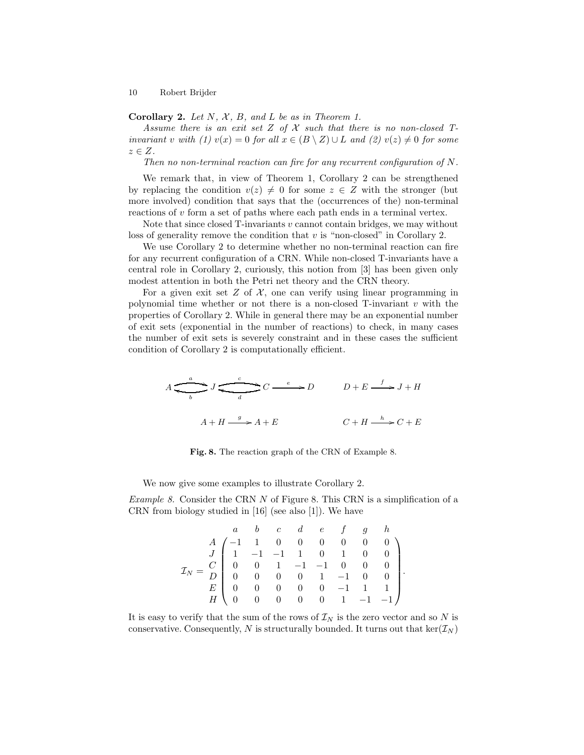10 Robert Brijder

**Corollary 2.** Let  $N$ ,  $\mathcal{X}$ ,  $B$ , and  $L$  be as in Theorem 1.

Assume there is an exit set  $Z$  of  $\mathcal X$  such that there is no non-closed Tinvariant v with (1)  $v(x) = 0$  for all  $x \in (B \setminus Z) \cup L$  and (2)  $v(z) \neq 0$  for some  $z \in Z$ .

Then no non-terminal reaction can fire for any recurrent configuration of N.

We remark that, in view of Theorem 1, Corollary 2 can be strengthened by replacing the condition  $v(z) \neq 0$  for some  $z \in Z$  with the stronger (but more involved) condition that says that the (occurrences of the) non-terminal reactions of  $v$  form a set of paths where each path ends in a terminal vertex.

Note that since closed  $T$ -invariants  $v$  cannot contain bridges, we may without loss of generality remove the condition that  $v$  is "non-closed" in Corollary 2.

We use Corollary 2 to determine whether no non-terminal reaction can fire for any recurrent configuration of a CRN. While non-closed T-invariants have a central role in Corollary 2, curiously, this notion from [3] has been given only modest attention in both the Petri net theory and the CRN theory.

For a given exit set  $Z$  of  $X$ , one can verify using linear programming in polynomial time whether or not there is a non-closed  $T$ -invariant  $v$  with the properties of Corollary 2. While in general there may be an exponential number of exit sets (exponential in the number of reactions) to check, in many cases the number of exit sets is severely constraint and in these cases the sufficient condition of Corollary 2 is computationally efficient.

$$
A \xrightarrow{a} J \xrightarrow{c} C \xrightarrow{e} D \qquad D + E \xrightarrow{f} J + H
$$
  

$$
A + H \xrightarrow{g} A + E \qquad C + H \xrightarrow{h} C + E
$$

Fig. 8. The reaction graph of the CRN of Example 8.

We now give some examples to illustrate Corollary 2.

*Example 8.* Consider the CRN N of Figure 8. This CRN is a simplification of a CRN from biology studied in [16] (see also [1]). We have

$$
\mathcal{I}_N = \begin{pmatrix}\na & b & c & d & e & f & g & h \\
A & -1 & 1 & 0 & 0 & 0 & 0 & 0 & 0 \\
J & 1 & -1 & -1 & 1 & 0 & 1 & 0 & 0 \\
0 & 0 & 1 & -1 & -1 & 0 & 0 & 0 \\
0 & 0 & 0 & 0 & 1 & -1 & 0 & 0 \\
E & 0 & 0 & 0 & 0 & 0 & -1 & 1 & 1 \\
H & 0 & 0 & 0 & 0 & 0 & 1 & -1 & -1\n\end{pmatrix}
$$

.

It is easy to verify that the sum of the rows of  $\mathcal{I}_N$  is the zero vector and so N is conservative. Consequently, N is structurally bounded. It turns out that  $\ker(\mathcal{I}_N)$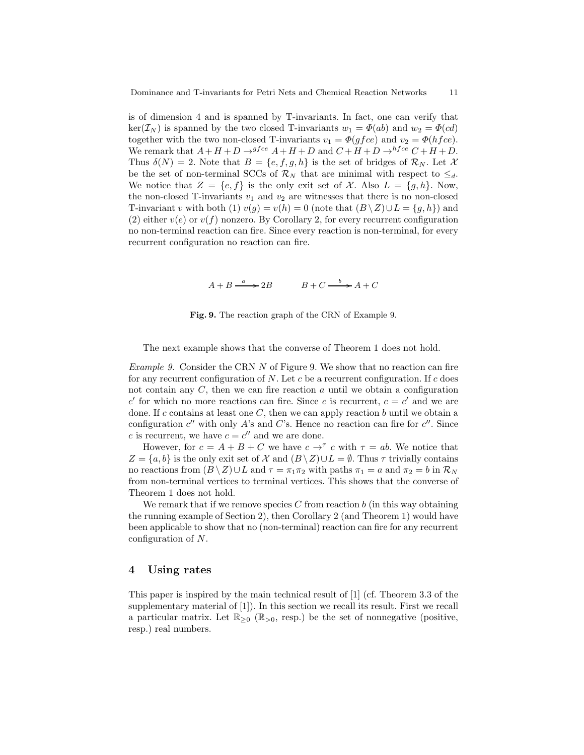is of dimension 4 and is spanned by T-invariants. In fact, one can verify that  $\ker(\mathcal{I}_N)$  is spanned by the two closed T-invariants  $w_1 = \Phi(ab)$  and  $w_2 = \Phi(cd)$ together with the two non-closed T-invariants  $v_1 = \Phi(g f c e)$  and  $v_2 = \Phi(h f c e)$ . We remark that  $A+H+D \rightarrow^{g fce} A+H+D$  and  $C+H+D \rightarrow^{h fce} C+H+D$ . Thus  $\delta(N) = 2$ . Note that  $B = \{e, f, g, h\}$  is the set of bridges of  $\mathcal{R}_N$ . Let X be the set of non-terminal SCCs of  $\mathcal{R}_N$  that are minimal with respect to  $\leq_d$ . We notice that  $Z = \{e, f\}$  is the only exit set of X. Also  $L = \{g, h\}$ . Now, the non-closed T-invariants  $v_1$  and  $v_2$  are witnesses that there is no non-closed T-invariant v with both (1)  $v(g) = v(h) = 0$  (note that  $(B \setminus Z) \cup L = \{g, h\}$ ) and (2) either  $v(e)$  or  $v(f)$  nonzero. By Corollary 2, for every recurrent configuration no non-terminal reaction can fire. Since every reaction is non-terminal, for every recurrent configuration no reaction can fire.

$$
A + B \xrightarrow{a} 2B \qquad B + C \xrightarrow{b} A + C
$$

Fig. 9. The reaction graph of the CRN of Example 9.

The next example shows that the converse of Theorem 1 does not hold.

Example 9. Consider the CRN N of Figure 9. We show that no reaction can fire for any recurrent configuration of  $N$ . Let c be a recurrent configuration. If c does not contain any  $C$ , then we can fire reaction  $a$  until we obtain a configuration c' for which no more reactions can fire. Since c is recurrent,  $c = c'$  and we are done. If c contains at least one  $C$ , then we can apply reaction b until we obtain a configuration  $c''$  with only A's and C's. Hence no reaction can fire for  $c''$ . Since c is recurrent, we have  $c = c''$  and we are done.

However, for  $c = A + B + C$  we have  $c \to^{\tau} c$  with  $\tau = ab$ . We notice that  $Z = \{a, b\}$  is the only exit set of X and  $(B \setminus Z) \cup L = \emptyset$ . Thus  $\tau$  trivially contains no reactions from  $(B \setminus Z) \cup L$  and  $\tau = \pi_1 \pi_2$  with paths  $\pi_1 = a$  and  $\pi_2 = b$  in  $\mathcal{R}_N$ from non-terminal vertices to terminal vertices. This shows that the converse of Theorem 1 does not hold.

We remark that if we remove species  $C$  from reaction  $b$  (in this way obtaining the running example of Section 2), then Corollary 2 (and Theorem 1) would have been applicable to show that no (non-terminal) reaction can fire for any recurrent configuration of N.

#### 4 Using rates

This paper is inspired by the main technical result of [1] (cf. Theorem 3.3 of the supplementary material of [1]). In this section we recall its result. First we recall a particular matrix. Let  $\mathbb{R}_{\geq 0}$  ( $\mathbb{R}_{>0}$ , resp.) be the set of nonnegative (positive, resp.) real numbers.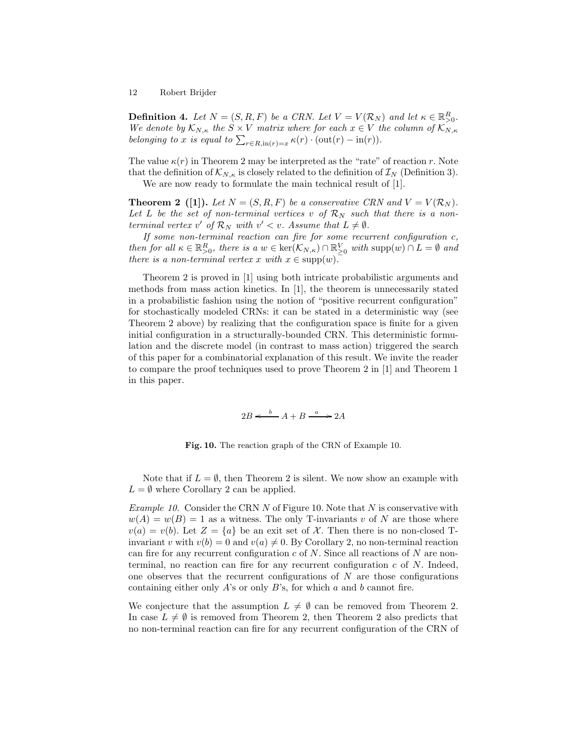**Definition 4.** Let  $N = (S, R, F)$  be a CRN. Let  $V = V(\mathcal{R}_N)$  and let  $\kappa \in \mathbb{R}^R_{>0}$ . We denote by  $\mathcal{K}_{N,\kappa}$  the  $S \times V$  matrix where for each  $x \in V$  the column of  $\mathcal{K}_{N,\kappa}$ belonging to x is equal to  $\sum_{r \in R, \text{in}(r) = x} \kappa(r) \cdot (\text{out}(r) - \text{in}(r)).$ 

The value  $\kappa(r)$  in Theorem 2 may be interpreted as the "rate" of reaction r. Note that the definition of  $\mathcal{K}_{N,\kappa}$  is closely related to the definition of  $\mathcal{I}_N$  (Definition 3). We are now ready to formulate the main technical result of [1].

**Theorem 2** ([1]). Let  $N = (S, R, F)$  be a conservative CRN and  $V = V(\mathcal{R}_N)$ . Let L be the set of non-terminal vertices v of  $\mathcal{R}_N$  such that there is a nonterminal vertex v' of  $\mathcal{R}_N$  with  $v' < v$ . Assume that  $L \neq \emptyset$ .

If some non-terminal reaction can fire for some recurrent configuration c, then for all  $\kappa \in \mathbb{R}^R_{\geq 0}$ , there is a  $w \in \text{ker}(\mathcal{K}_{N,\kappa}) \cap \mathbb{R}^V_{\geq 0}$  with  $\text{supp}(w) \cap L = \emptyset$  and there is a non-terminal vertex x with  $x \in \text{supp}(w)$ .

Theorem 2 is proved in [1] using both intricate probabilistic arguments and methods from mass action kinetics. In [1], the theorem is unnecessarily stated in a probabilistic fashion using the notion of "positive recurrent configuration" for stochastically modeled CRNs: it can be stated in a deterministic way (see Theorem 2 above) by realizing that the configuration space is finite for a given initial configuration in a structurally-bounded CRN. This deterministic formulation and the discrete model (in contrast to mass action) triggered the search of this paper for a combinatorial explanation of this result. We invite the reader to compare the proof techniques used to prove Theorem 2 in [1] and Theorem 1 in this paper.

$$
2B \xrightarrow{b} A + B \xrightarrow{a} 2A
$$

Fig. 10. The reaction graph of the CRN of Example 10.

Note that if  $L = \emptyset$ , then Theorem 2 is silent. We now show an example with  $L = \emptyset$  where Corollary 2 can be applied.

*Example 10.* Consider the CRN N of Figure 10. Note that N is conservative with  $w(A) = w(B) = 1$  as a witness. The only T-invariants v of N are those where  $v(a) = v(b)$ . Let  $Z = \{a\}$  be an exit set of X. Then there is no non-closed Tinvariant v with  $v(b) = 0$  and  $v(a) \neq 0$ . By Corollary 2, no non-terminal reaction can fire for any recurrent configuration c of  $N$ . Since all reactions of  $N$  are nonterminal, no reaction can fire for any recurrent configuration  $c$  of  $N$ . Indeed, one observes that the recurrent configurations of  $N$  are those configurations containing either only  $A$ 's or only  $B$ 's, for which  $a$  and  $b$  cannot fire.

We conjecture that the assumption  $L \neq \emptyset$  can be removed from Theorem 2. In case  $L \neq \emptyset$  is removed from Theorem 2, then Theorem 2 also predicts that no non-terminal reaction can fire for any recurrent configuration of the CRN of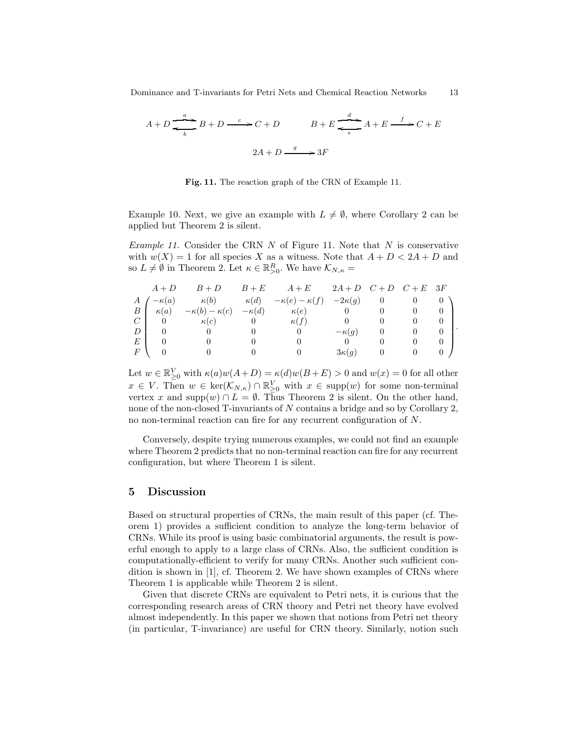$$
A + D \xrightarrow{\begin{array}{c} a \\ \hline b \end{array}} B + D \xrightarrow{\begin{array}{c} c \\ \hline \end{array}} C + D \qquad B + E \xrightarrow{\begin{array}{c} d \\ \hline \end{array}} A + E \xrightarrow{\begin{array}{c} f \\ \hline \end{array}} C + E
$$

$$
2A + D \xrightarrow{g} 3F
$$

Fig. 11. The reaction graph of the CRN of Example 11.

Example 10. Next, we give an example with  $L \neq \emptyset$ , where Corollary 2 can be applied but Theorem 2 is silent.

*Example 11.* Consider the CRN  $N$  of Figure 11. Note that  $N$  is conservative with  $w(X) = 1$  for all species X as a witness. Note that  $A + D < 2A + D$  and so  $L \neq \emptyset$  in Theorem 2. Let  $\kappa \in \mathbb{R}^R_{>0}$ . We have  $\mathcal{K}_{N,\kappa} =$ 

|                | $A+D$            | $B+D$                                                                             | $B+E$ | $A+E$                                            | $2A+D$ $C+D$ $C+E$ 3F |                                        |                     |  |
|----------------|------------------|-----------------------------------------------------------------------------------|-------|--------------------------------------------------|-----------------------|----------------------------------------|---------------------|--|
|                | $A / -\kappa(a)$ |                                                                                   |       | $\kappa(b)$ $\kappa(d)$ $-\kappa(e) - \kappa(f)$ | $-2\kappa(g)$ 0       |                                        |                     |  |
|                |                  | $B \begin{bmatrix} \kappa(a) & -\kappa(b) - \kappa(c) & -\kappa(d) \end{bmatrix}$ |       | $\kappa(e)$ 0                                    |                       | $\theta$                               | $\sim$ 0            |  |
|                |                  | $C$ 0 $\kappa(c)$                                                                 |       | $\kappa(f)$                                      | 0                     | $\theta$                               | $\overline{0}$      |  |
| D <sub>1</sub> |                  |                                                                                   |       |                                                  | $-\kappa(q)$          |                                        | $0 \qquad \qquad 0$ |  |
| $E \perp$      |                  |                                                                                   |       |                                                  | $\theta$              | $\theta$                               |                     |  |
|                | $F \setminus$    |                                                                                   |       |                                                  | $3\kappa(g)$          | $\begin{array}{ccc} & & 0 \end{array}$ |                     |  |

Let  $w \in \mathbb{R}_{\geq 0}^V$  with  $\kappa(a)w(A+D) = \kappa(d)w(B+E) > 0$  and  $w(x) = 0$  for all other  $x \in V$ . Then  $w \in \text{ker}(\mathcal{K}_{N,\kappa}) \cap \mathbb{R}_{\geq 0}^V$  with  $x \in \text{supp}(w)$  for some non-terminal vertex x and supp $(w) \cap L = \emptyset$ . Thus Theorem 2 is silent. On the other hand, none of the non-closed T-invariants of N contains a bridge and so by Corollary 2, no non-terminal reaction can fire for any recurrent configuration of N.

Conversely, despite trying numerous examples, we could not find an example where Theorem 2 predicts that no non-terminal reaction can fire for any recurrent configuration, but where Theorem 1 is silent.

## 5 Discussion

Based on structural properties of CRNs, the main result of this paper (cf. Theorem 1) provides a sufficient condition to analyze the long-term behavior of CRNs. While its proof is using basic combinatorial arguments, the result is powerful enough to apply to a large class of CRNs. Also, the sufficient condition is computationally-efficient to verify for many CRNs. Another such sufficient condition is shown in [1], cf. Theorem 2. We have shown examples of CRNs where Theorem 1 is applicable while Theorem 2 is silent.

Given that discrete CRNs are equivalent to Petri nets, it is curious that the corresponding research areas of CRN theory and Petri net theory have evolved almost independently. In this paper we shown that notions from Petri net theory (in particular, T-invariance) are useful for CRN theory. Similarly, notion such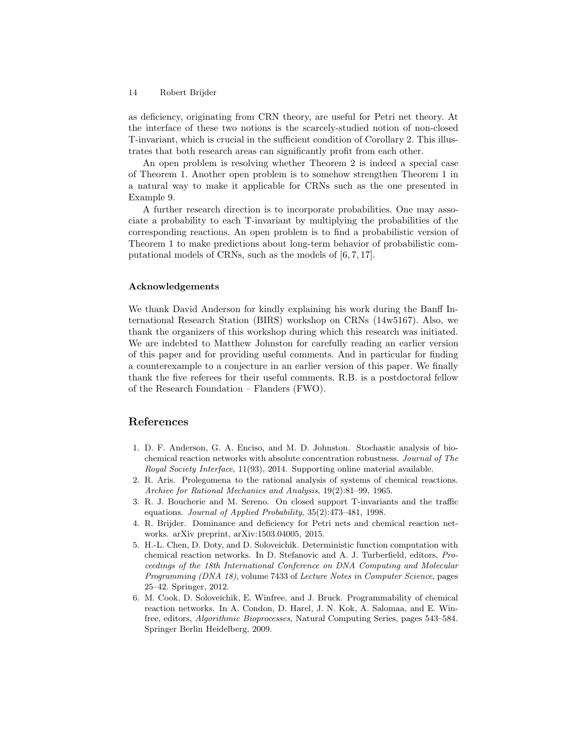#### 14 Robert Brijder

as deficiency, originating from CRN theory, are useful for Petri net theory. At the interface of these two notions is the scarcely-studied notion of non-closed T-invariant, which is crucial in the sufficient condition of Corollary 2. This illustrates that both research areas can significantly profit from each other.

An open problem is resolving whether Theorem 2 is indeed a special case of Theorem 1. Another open problem is to somehow strengthen Theorem 1 in a natural way to make it applicable for CRNs such as the one presented in Example 9.

A further research direction is to incorporate probabilities. One may associate a probability to each T-invariant by multiplying the probabilities of the corresponding reactions. An open problem is to find a probabilistic version of Theorem 1 to make predictions about long-term behavior of probabilistic computational models of CRNs, such as the models of [6, 7, 17].

#### Acknowledgements

We thank David Anderson for kindly explaining his work during the Banff International Research Station (BIRS) workshop on CRNs (14w5167). Also, we thank the organizers of this workshop during which this research was initiated. We are indebted to Matthew Johnston for carefully reading an earlier version of this paper and for providing useful comments. And in particular for finding a counterexample to a conjecture in an earlier version of this paper. We finally thank the five referees for their useful comments. R.B. is a postdoctoral fellow of the Research Foundation – Flanders (FWO).

# References

- 1. D. F. Anderson, G. A. Enciso, and M. D. Johnston. Stochastic analysis of biochemical reaction networks with absolute concentration robustness. Journal of The Royal Society Interface, 11(93), 2014. Supporting online material available.
- 2. R. Aris. Prolegomena to the rational analysis of systems of chemical reactions. Archive for Rational Mechanics and Analysis, 19(2):81–99, 1965.
- 3. R. J. Boucherie and M. Sereno. On closed support T-invariants and the traffic equations. Journal of Applied Probability, 35(2):473–481, 1998.
- 4. R. Brijder. Dominance and deficiency for Petri nets and chemical reaction networks. arXiv preprint, arXiv:1503.04005, 2015.
- 5. H.-L. Chen, D. Doty, and D. Soloveichik. Deterministic function computation with chemical reaction networks. In D. Stefanovic and A. J. Turberfield, editors, Proceedings of the 18th International Conference on DNA Computing and Molecular Programming (DNA 18), volume 7433 of Lecture Notes in Computer Science, pages 25–42. Springer, 2012.
- 6. M. Cook, D. Soloveichik, E. Winfree, and J. Bruck. Programmability of chemical reaction networks. In A. Condon, D. Harel, J. N. Kok, A. Salomaa, and E. Winfree, editors, Algorithmic Bioprocesses, Natural Computing Series, pages 543–584. Springer Berlin Heidelberg, 2009.